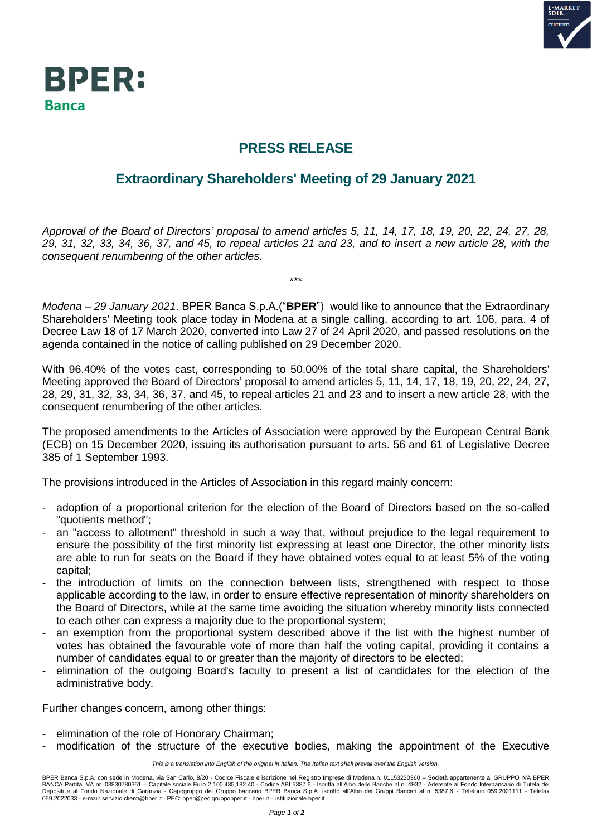



## **PRESS RELEASE**

## **Extraordinary Shareholders' Meeting of 29 January 2021**

*Approval of the Board of Directors' proposal to amend articles 5, 11, 14, 17, 18, 19, 20, 22, 24, 27, 28, 29, 31, 32, 33, 34, 36, 37, and 45, to repeal articles 21 and 23, and to insert a new article 28, with the consequent renumbering of the other articles*.

\*\*\*

*Modena – 29 January 2021*. BPER Banca S.p.A.("**BPER**") would like to announce that the Extraordinary Shareholders' Meeting took place today in Modena at a single calling, according to art. 106, para. 4 of Decree Law 18 of 17 March 2020, converted into Law 27 of 24 April 2020, and passed resolutions on the agenda contained in the notice of calling published on 29 December 2020.

With 96.40% of the votes cast, corresponding to 50.00% of the total share capital, the Shareholders' Meeting approved the Board of Directors' proposal to amend articles 5, 11, 14, 17, 18, 19, 20, 22, 24, 27, 28, 29, 31, 32, 33, 34, 36, 37, and 45, to repeal articles 21 and 23 and to insert a new article 28, with the consequent renumbering of the other articles.

The proposed amendments to the Articles of Association were approved by the European Central Bank (ECB) on 15 December 2020, issuing its authorisation pursuant to arts. 56 and 61 of Legislative Decree 385 of 1 September 1993.

The provisions introduced in the Articles of Association in this regard mainly concern:

- adoption of a proportional criterion for the election of the Board of Directors based on the so-called "quotients method";
- an "access to allotment" threshold in such a way that, without prejudice to the legal requirement to ensure the possibility of the first minority list expressing at least one Director, the other minority lists are able to run for seats on the Board if they have obtained votes equal to at least 5% of the voting capital;
- the introduction of limits on the connection between lists, strengthened with respect to those applicable according to the law, in order to ensure effective representation of minority shareholders on the Board of Directors, while at the same time avoiding the situation whereby minority lists connected to each other can express a majority due to the proportional system;
- an exemption from the proportional system described above if the list with the highest number of votes has obtained the favourable vote of more than half the voting capital, providing it contains a number of candidates equal to or greater than the majority of directors to be elected;
- elimination of the outgoing Board's faculty to present a list of candidates for the election of the administrative body.

Further changes concern, among other things:

- elimination of the role of Honorary Chairman;
	- modification of the structure of the executive bodies, making the appointment of the Executive

*This is a translation into English of the original in Italian. The Italian text shall prevail over the English version.*

BPER Banca S.p.A. con sede in Modena, via San Carlo, 8/20 - Codice Fiscale e iscrizione nel Registro Imprese di Modena n. 01153230360 – Società appartenente al GRUPPO IVA BPER BANCA Partita IVA nr. 03830780361 – Capitale sociale Euro 2,100,435,182.40 - Codice ABI 5387.6 - Iscritta all'Albo delle Banche al n. 4932 - Aderente al Fondo Interbancario di Tutela dei<br>Depositi e al Fondo Nazionale di G